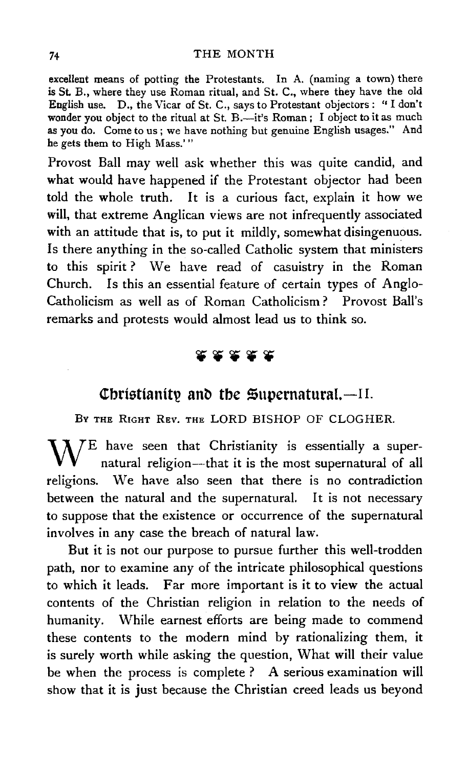#### 74 THE MONTH

excellent means of potting the Protestants. In A. (naming a town) there is St. B., where they use Roman ritual, and St. C., where they have the old English use. D., the Vicar of St. C., says to Protestant objectors: "I don't wonder you object to the ritual at St. B.-it's Roman; I object to it as much as you do. Come to us; we have nothing but genuine English usages." And he gets them to High Mass.' "

Provost Ball may well ask whether this was quite candid, and what would have happened if the Protestant objector had been told the whole truth. It is a curious fact, explain it how we will, that extreme Anglican views are not infrequently associated with an attitude that is, to put it mildly, somewhat disingenuous. Is there anything in the so-called Catholic system that ministers to this spirit ? We have read of casuistry in the Roman Church. Is this an essential feature of certain types of Anglo-Catholicism as well as of Roman Catholicism? Provost Ball's remarks and protests would almost lead us to think so.

# **28888**

## **Christianity and the Supernatural.**-II.

BY THE RIGHT REV. THE LORD BISHOP OF CLOGHER.

WE have seen that Christianity is essentially a super-natural religion--that it is the most supernatural of all religions. We have also seen that there is no contradiction between the natural and the supernatural. It is not necessary to suppose that the existence or occurrence of the supernatural involves in any case the breach of natural law.

But it is not our purpose to pursue further this well-trodden path, nor to examine any of the intricate philosophical questions to which it leads. Far more important is it to view the actual contents of the Christian religion in relation to the needs of humanity. While earnest efforts are being made to commend these contents to the modern mind by rationalizing them, it is surely worth while asking the question, What will their value be when the process is complete ? A serious examination will show that it is just because the Christian creed leads us beyond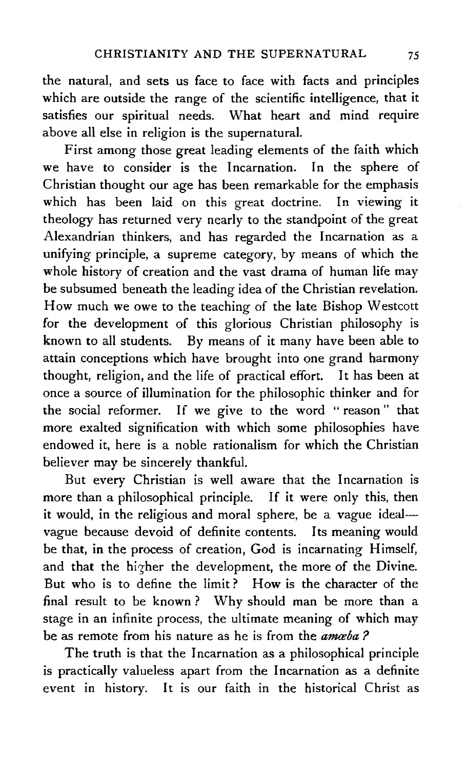the natural, and sets us face to face with facts and principles which are outside the range of the scientific intelligence, that it satisfies our spiritual needs. What heart and mind require above all else in religion is the supernatural.

First among those great leading elements of the faith which we have to consider is the Incarnation. In the sphere of Christian thought our age has been remarkable for the emphasis which has been laid on this great doctrine. In viewing it theology has returned very nearly to the standpoint of the great Alexandrian thinkers, and has regarded the Incarnation as a unifying principle, a supreme category, by means of which the whole history of creation and the vast drama of human life may be subsumed beneath the leading idea of the Christian revelation. How much we owe to the teaching of the late Bishop Westcott for the development of this glorious Christian philosophy is known to all students. By means of it many have been able to attain conceptions which have brought into one grand harmony thought, religion, and the life of practical effort. It has been at once a source of illumination for the philosophic thinker and for the social reformer. If we give to the word " reason " that more exalted signification with which some philosophies have endowed it, here is a noble rationalism for which the Christian believer may be sincerely thankful.

But every Christian is well aware that the Incarnation is more than a philosophical principle. If it were only this, then it would, in the religious and moral sphere, be a vague idealvague because devoid of definite contents. Its meaning would be that, in the process of creation, God is incarnating Himself, and that the higher the development, the more of the Divine. But who is to define the limit? How is the character of the final result to be known ? Why should man be more than a stage in an infinite process, the ultimate meaning of which may be as remote from his nature as he is from the *amaba?* 

The truth is that the Incarnation as a philosophical principle is practically valueless apart from the Incarnation as a definite event in history. It is our faith in the historical Christ as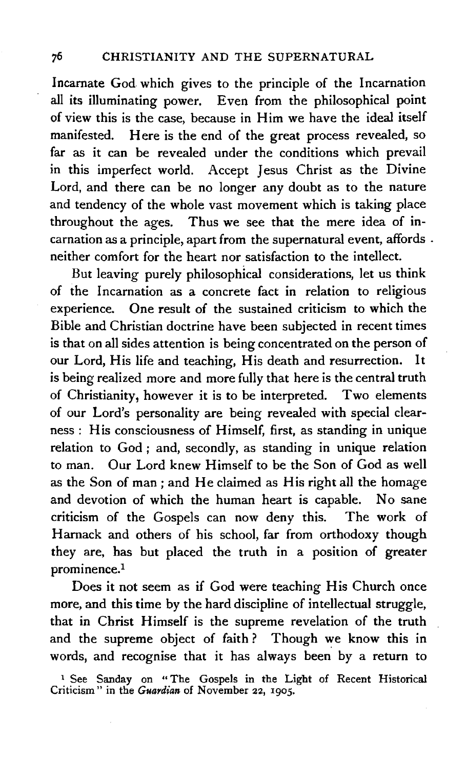Incarnate God. which gives to the principle of the Incarnation aU its illuminating power. Even from the philosophical point of view this is the case, because in Him we have the ideal itself manifested. Here is the end of the great process revealed, so far as it can be revealed under the conditions which prevail in this imperfect world. Accept Jesus Christ as the Divine Lord, and there can be no longer any doubt as to the nature and tendency of the whole vast movement which is taking place throughout the ages. Thus we see that the mere idea of incarnation as a principle, apart from the supernatural event, affords . neither comfort for the heart nor satisfaction to the intellect.

But leaving purely philosophical considerations, let us think of the Incarnation as a concrete fact in relation to religious experience. One result of the sustained criticism to which the Bible and Christian doctrine have been subjected in recent times is that on all sides attention is being concentrated on the person of our Lord, His life and teaching, His death and resurrection. It is being realized more and more fully that here is the central truth of Christianity, however it is to be interpreted. Two elements of our Lord's personality are being revealed with special clearness: His consciousness of Himself, first, as standing in unique relation to God ; and, secondly, as standing in unique relation to man. Our Lord knew Himself to be the Son of God as well as the Son of man; and He claimed as His right all the homage and devotion of which the human heart is capable. No sane criticism of the Gospels can now deny this. The work of Harnack and others of his school, far from orthodoxy though they are, has but placed the truth in a position of greater prominence.<sup>1</sup>

Does it not seem as if God were teaching His Church once more, and this time by the hard discipline of intellectual struggle, that in Christ Himself is the supreme revelation of the truth and the supreme object of faith ? Though we know this in words, and recognise that it has always been by a return to

<sup>1</sup> See Sanday on "The Gospels in the Light of Recent Historical Criticism" in the *Guardian* of November 22, rgos.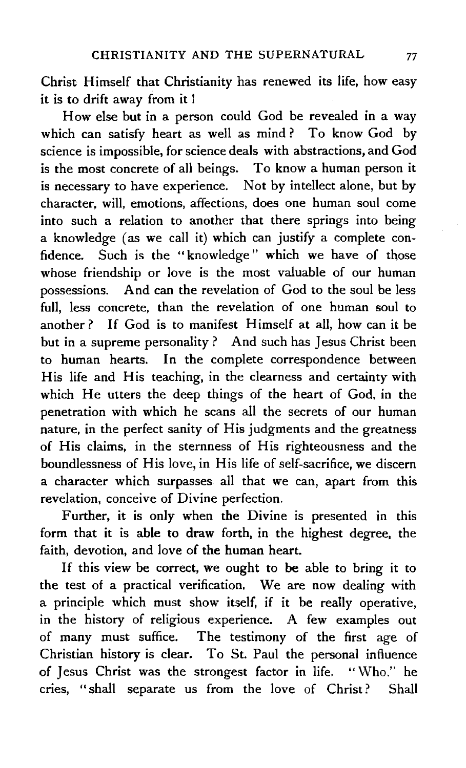Christ Himself that Christianity has renewed its life, how easy it is to drift away from it l

How else but in a person could God be revealed in a way which can satisfy heart as well as mind? To know God by science is impossible, for science deals with abstractions, and God is the most concrete of all beings. To know a human person it is necessary to have experience. Not by intellect alone, but by character, will, emotions, affections, does one human soul come into such a relation to another that there springs into being a knowledge (as we call it) which can justify a complete confidence. Such is the " knowledge " which we have of those whose friendship or love is the most valuable of our human possessions. And can the revelation of God to the soul be less full, less concrete, than the revelation of one human soul to another? If God is to manifest Himself at all, how can it be but in a supreme personality ? And such has Jesus Christ been to human hearts. In the complete correspondence between His life and His teaching, in the clearness and certainty with which He utters the deep things of the heart of God, in the penetration with which he scans all the secrets of our human nature, in the perfect sanity of His judgments and the greatness of His claims, in the sternness of His righteousness and the boundlessness of His love, in His life of self-sacrifice, we discern a character which surpasses all that we can, apart from this revelation, conceive of Divine perfection.

Further, it is only when the Divine is presented in this form that it is able to draw forth, in the highest degree, the faith, devotion, and love of the human heart.

If this view be correct, we ought to be able to bring it to the test of a practical verification. We are now dealing with a principle which must show itself, if it be really operative, in the history of religious experience. A few examples out of many must suffice. The testimony of the first age of Christian history is clear. To St. Paul the personal influence of Jesus Christ was the strongest factor in life. " Who." he cries, " shall separate us from the love of Christ ? Shall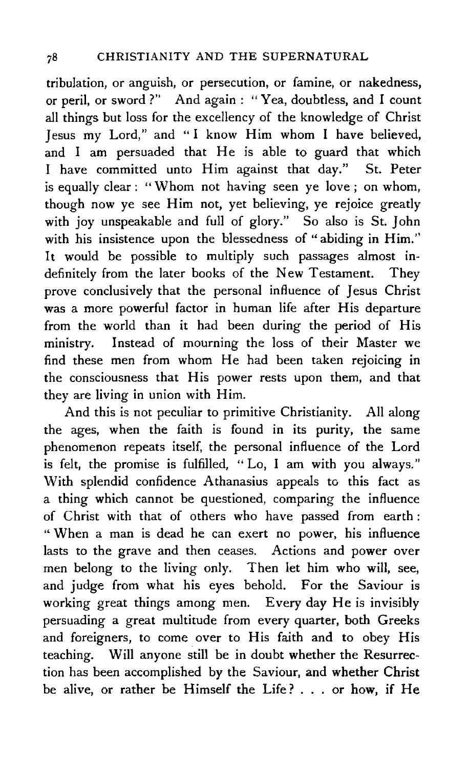tribulation, or anguish, or persecution, or famine, or nakedness, or peril, or sword ?" And again : " Yea, doubtless, and I count aU things but loss for the excellency of the knowledge of Christ Jesus my Lord," and "I know Him whom I have believed, and I am persuaded that He is able to guard that which I have committed unto Him against that day." St. Peter is equally clear: "Whom not having seen ye love; on whom, though now ye see Him not, yet believing, ye rejoice greatly with joy unspeakable and full of glory." So also is St. John with his insistence upon the blessedness of "abiding in Him." It would be possible to multiply such passages almost indefinitely from the later books of the New Testament. They prove conclusively that the personal influence of Jesus Christ was a more powerful factor in human life after His departure from the world than it had been during the period of His ministry. Instead of mourning the loss of their Master we find these men from whom He had been taken rejoicing in the consciousness that His power rests upon them, and that they are living in union with Him.

And this is not peculiar to primitive Christianity. All along the ages, when the faith is found in its purity, the same phenomenon repeats itself, the personal influence of the Lord is felt, the promise is fulfilled, " Lo, I am with you always.'' With splendid confidence Athanasius appeals to this fact as a thing which cannot be questioned, comparing the influence of Christ with that of others who have passed from earth : " When a man is dead he can exert no power, his influence lasts to the grave and then ceases. Actions and power over men belong to the living only. Then let him who will, see, and judge from what his eyes behold. For the Saviour is working great things among men. Every day He is invisibly persuading a great multitude from every quarter, both Greeks and foreigners, to come over to His faith and to obey His teaching. Will anyone still be in doubt whether the Resurrection has been accomplished by the Saviour, and whether Christ be alive, or rather be Himself the Life? ... or how, if He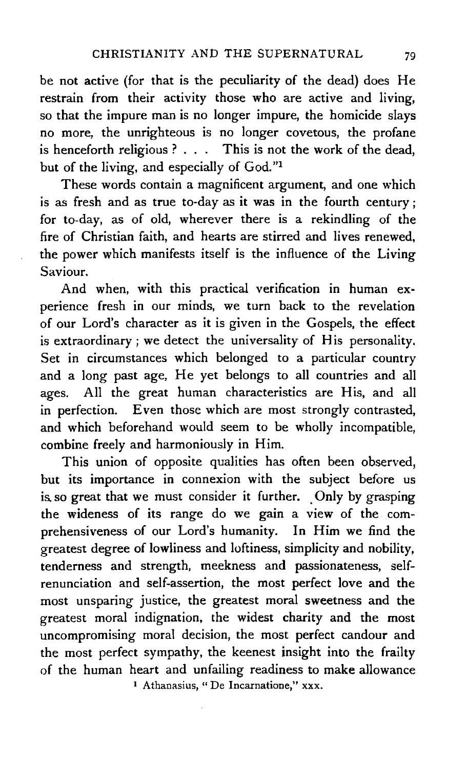be not active (for that is the peculiarity of the dead) does He restrain from their activity those who are active and living, so that the impure man is no longer impure, the homicide slays no more, the unrighteous is no longer covetous, the profane is henceforth religious ? . . . This is not the work of the dead, but of the living, and especially of God."<sup>1</sup>

These words contain a magnificent argument, and one which is as fresh and as true to-day as it was in the fourth century; for to-day, as of old, wherever there is a rekindling of the fire of Christian faith, and hearts are stirred and lives renewed, the power which manifests itself is the influence of the Living Saviour.

And when, with this practical verification in human experience fresh in our minds, we turn back to the revelation of our Lord's character as it is given in the Gospels, the effect is extraordinary; we detect the universality of His personality. Set in circumstances which belonged to a particular country and a long past age, He yet belongs to all countries and all ages. All the great human characteristics are His, and all in perfection. Even those which are most strongly contrasted, and which beforehand would seem to be wholly incompatible, combine freely and harmoniously in Him.

This union of opposite qualities has often been observed, but its importance in connexion with the subject before us is so great that we must consider it further. Only by grasping the wideness of its range do we gain a view of the comprehensiveness of our Lord's humanity. In Him we find the greatest degree of lowliness and loftiness, simplicity and nobility, tenderness and strength, meekness and passionateness, selfrenunciation and self-assertion, the most perfect love and the most unsparing justice, the greatest moral sweetness and the greatest moral indignation, the widest charity and the most uncompromising moral decision, the most perfect candour and the most perfect sympathy, the keenest insight into the frailty of the human heart and unfailing readiness to make allowance I Athanasius, " De Incarnatione," xxx.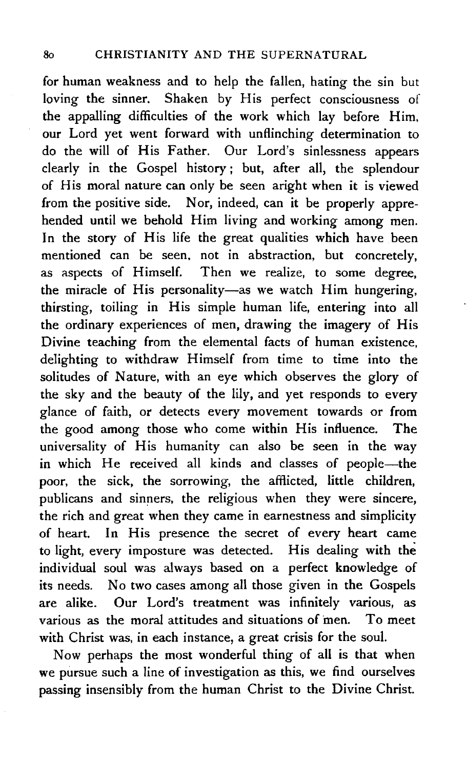for human weakness and to help the fallen, hating the sin but loving the sinner. Shaken by His perfect consciousness of the appalling difficulties of the work which lay before Him, our Lord yet went forward with unflinching determination to do the will of His Father. Our Lord's sinlessness appears clearly in the Gospel history ; but, after all, the splendour of His moral nature can only be seen aright when it is viewed from the positive side. Nor, indeed, can it be properly apprehended until we behold Him living and working among men. In the story of His life the great qualities which have been mentioned can be seen, not in abstraction, but concretely, as aspects of Himself. Then we realize, to some degree, the miracle of His personality-as we watch Him hungering, thirsting, toiling in His simple human life, entering into all the ordinary experiences of men, drawing the imagery of His Divine teaching from the elemental facts of human existence, delighting to withdraw Himself from time to time into the solitudes of Nature, with an eye which observes the glory of the sky and the beauty of the lily, and yet responds to every glance of faith, or detects every movement towards or from the good among those who come within His influence. The universality of His humanity can also be seen in the way in which He received all kinds and classes of people-the poor, the sick, the sorrowing, the afflicted, little children, publicans and sinners, the religious when they were sincere, the rich and great when they came in earnestness and simplicity of heart. In His presence the secret of every heart came to light, every imposture was detected. His dealing with the individual soul was always based on a perfect knowledge of its needs. No two cases among all those given in the Gospels are alike. Our Lord's treatment was infinitely various, as various as the moral attitudes and situations of men. To meet with Christ was, in each instance, a great crisis for the soul.

Now perhaps the most wonderful thing of all is that when we pursue such a line of investigation as this, we find ourselves passing insensibly from the human Christ to the Divine Christ.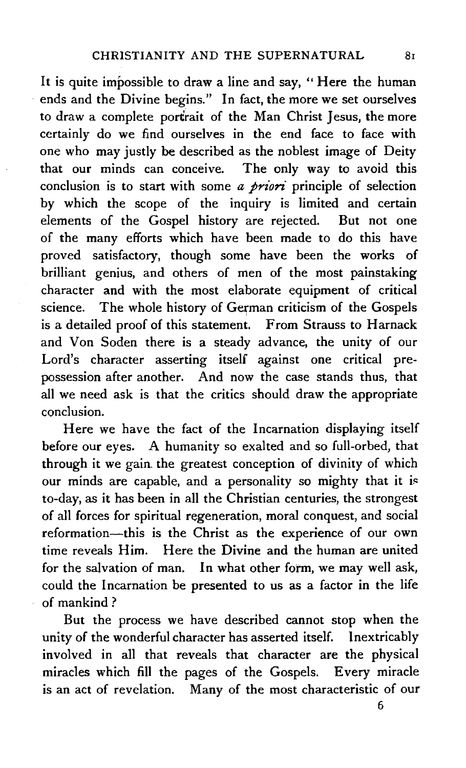It is quite impossible to draw a line and say, " Here the human ends and the Divine begins." In fact, the more we set ourselves to draw a complete portrait of the Man Christ Jesus, the more certainly do we find ourselves in the end face to face with one who may justly be described as the noblest image of Deity that our minds can conceive. The only way to avoid this conclusion is to start with some *a priori* principle of selection by which the scope of the inquiry is limited and certain elements of the Gospel history are rejected. But not one of the many efforts which have been made to do this have proved satisfactory, though some have been the works of brilliant genius, and others of men of the most painstaking character and with the most elaborate equipment of critical science. The whole history of German criticism of the Gospels is a detailed proof of this statement. From Strauss to Harnack and Von Soden there is a steady advance, the unity of our Lord's character asserting itself against one critical pre· possession after another. And now the case stands thus, that all we need ask is that the critics should draw the appropriate conclusion.

Here we have the fact of the Incarnation displaying itself before our eyes. A humanity so exalted and so full-orbed, that through it we gain. the greatest conception of divinity of which our minds are capable, and a personality so mighty that it is to-day, as it has been in all the Christian centuries, the strongest of all forces for spiritual regeneration, moral conquest, and social reformation-this is the Christ as the experience of our own time reveals Him. Here the Divine and the human are united for the salvation of man. In what other form, we may well ask, could the Incarnation be presented to us as a factor in the life of mankind ?

But the process we have described cannot stop when the unity of the wonderful character has asserted itself. Inextricably involved in all that reveals that character are the physical miracles which fill the pages of the Gospels. Every miracle is an act of revelation. Many of the most characteristic of our

6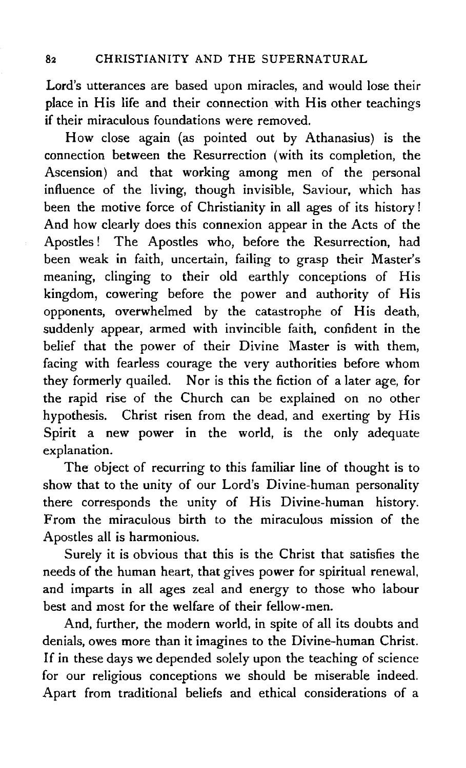Lord's utterances are based upon miracles, and would lose their place in His life and their connection with His other teachings if their miraculous foundations were removed.

How close again (as pointed out by Athanasius) is the connection between the Resurrection (with its completion, the Ascension) and that working among men of the personal influence of the living, though invisible, Saviour, which has been the motive force of Christianity in all ages of its history ! And how clearly does this connexion appear in the Acts of the Apostles! The Apostles who, before the Resurrection, had been weak in faith, uncertain, failing to grasp their Master's meaning, clinging to their old earthly conceptions of His kingdom, cowering before the power and authority of His opponents, overwhelmed by the catastrophe of His death, suddenly appear, armed with invincible faith, confident in the belief that the power of their Divine Master is with them, facing with fearless courage the very authorities before whom they formerly quailed. Nor is this the fiction of a later age, for the rapid rise of the Church can be explained on no other hypothesis. Christ risen from the dead, and exerting by His Spirit a new power in the world, is the only adequate explanation.

The object of recurring to this familiar line of thought is to show that to the unity of our Lord's Divine-human personality there corresponds the unity of His Divine-human history. From the miraculous birth to the miraculous mission of the Apostles all is harmonious.

Surely it is obvious that this is the Christ that satisfies the needs of the human heart, that gives power for spiritual renewal, and imparts in all ages zeal and energy to those who labour best and most for the welfare of their fellow-men.

And, further, the modern world, in spite of all its doubts and denials, owes more than it imagines to the Divine-human Christ. If in these days we depended solely upon the teaching of science for our religious conceptions we should be miserable indeed. Apart from traditional beliefs and ethical considerations of a